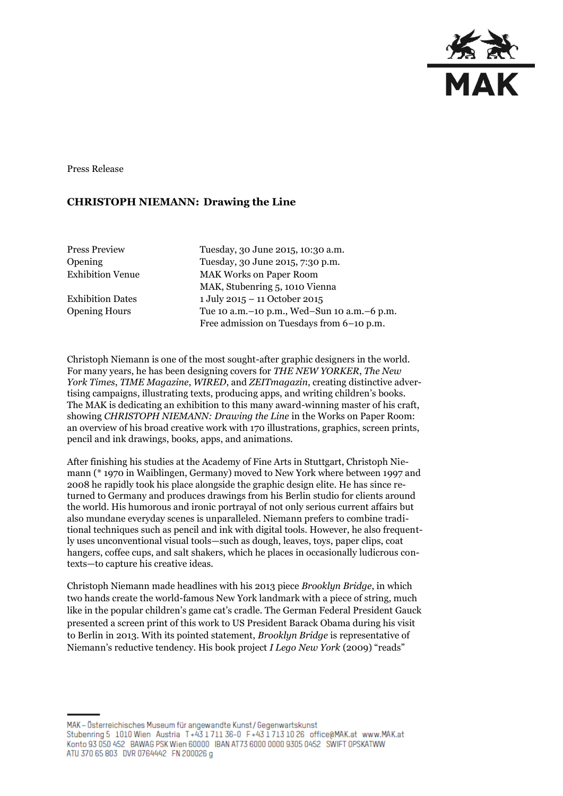

Press Release

## **CHRISTOPH NIEMANN: Drawing the Line**

| <b>Press Preview</b>    | Tuesday, 30 June 2015, 10:30 a.m.               |
|-------------------------|-------------------------------------------------|
| Opening                 | Tuesday, 30 June 2015, 7:30 p.m.                |
| <b>Exhibition Venue</b> | <b>MAK Works on Paper Room</b>                  |
|                         | MAK, Stubenring 5, 1010 Vienna                  |
| <b>Exhibition Dates</b> | 1 July 2015 - 11 October 2015                   |
| <b>Opening Hours</b>    | Tue 10 a.m. - 10 p.m., Wed-Sun 10 a.m. - 6 p.m. |
|                         | Free admission on Tuesdays from 6-10 p.m.       |
|                         |                                                 |

Christoph Niemann is one of the most sought-after graphic designers in the world. For many years, he has been designing covers for *THE NEW YORKER*, *The New York Times*, *TIME Magazine*, *WIRED*, and *ZEITmagazin*, creating distinctive advertising campaigns, illustrating texts, producing apps, and writing children's books. The MAK is dedicating an exhibition to this many award-winning master of his craft, showing *CHRISTOPH NIEMANN: Drawing the Line* in the Works on Paper Room: an overview of his broad creative work with 170 illustrations, graphics, screen prints, pencil and ink drawings, books, apps, and animations.

After finishing his studies at the Academy of Fine Arts in Stuttgart, Christoph Niemann (\* 1970 in Waiblingen, Germany) moved to New York where between 1997 and 2008 he rapidly took his place alongside the graphic design elite. He has since returned to Germany and produces drawings from his Berlin studio for clients around the world. His humorous and ironic portrayal of not only serious current affairs but also mundane everyday scenes is unparalleled. Niemann prefers to combine traditional techniques such as pencil and ink with digital tools. However, he also frequently uses unconventional visual tools—such as dough, leaves, toys, paper clips, coat hangers, coffee cups, and salt shakers, which he places in occasionally ludicrous contexts—to capture his creative ideas.

Christoph Niemann made headlines with his 2013 piece *Brooklyn Bridge*, in which two hands create the world-famous New York landmark with a piece of string, much like in the popular children's game cat's cradle. The German Federal President Gauck presented a screen print of this work to US President Barack Obama during his visit to Berlin in 2013. With its pointed statement, *Brooklyn Bridge* is representative of Niemann's reductive tendency. His book project *I Lego New York* (2009) "reads"

MAK - Österreichisches Museum für angewandte Kunst / Gegenwartskunst Stubenring 5 1010 Wien Austria T+43 1711 36-0 F+43 1713 10 26 office@MAK.at www.MAK.at Konto 93 050 452 BAWAG PSK Wien 60000 IBAN AT73 6000 0000 9305 0452 SWIFT OPSKATWW ATU 370 65 803 DVR 0764442 FN 200026 g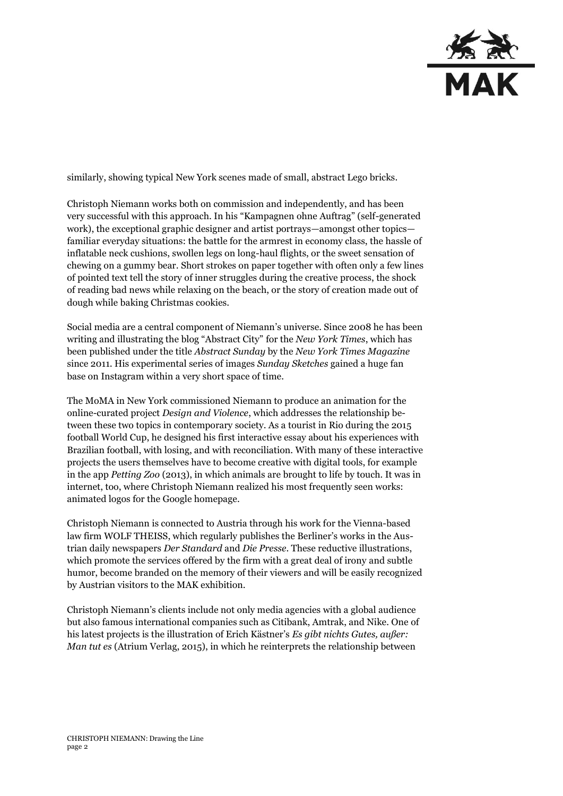

similarly, showing typical New York scenes made of small, abstract Lego bricks.

Christoph Niemann works both on commission and independently, and has been very successful with this approach. In his "Kampagnen ohne Auftrag" (self-generated work), the exceptional graphic designer and artist portrays—amongst other topics familiar everyday situations: the battle for the armrest in economy class, the hassle of inflatable neck cushions, swollen legs on long-haul flights, or the sweet sensation of chewing on a gummy bear. Short strokes on paper together with often only a few lines of pointed text tell the story of inner struggles during the creative process, the shock of reading bad news while relaxing on the beach, or the story of creation made out of dough while baking Christmas cookies.

Social media are a central component of Niemann's universe. Since 2008 he has been writing and illustrating the blog "Abstract City" for the *New York Times*, which has been published under the title *Abstract Sunday* by the *New York Times Magazine* since 2011. His experimental series of images *Sunday Sketches* gained a huge fan base on Instagram within a very short space of time.

The MoMA in New York commissioned Niemann to produce an animation for the online-curated project *Design and Violence*, which addresses the relationship between these two topics in contemporary society. As a tourist in Rio during the 2015 football World Cup, he designed his first interactive essay about his experiences with Brazilian football, with losing, and with reconciliation. With many of these interactive projects the users themselves have to become creative with digital tools, for example in the app *Petting Zoo* (2013), in which animals are brought to life by touch. It was in internet, too, where Christoph Niemann realized his most frequently seen works: animated logos for the Google homepage.

Christoph Niemann is connected to Austria through his work for the Vienna-based law firm WOLF THEISS, which regularly publishes the Berliner's works in the Austrian daily newspapers *Der Standard* and *Die Presse*. These reductive illustrations, which promote the services offered by the firm with a great deal of irony and subtle humor, become branded on the memory of their viewers and will be easily recognized by Austrian visitors to the MAK exhibition.

Christoph Niemann's clients include not only media agencies with a global audience but also famous international companies such as Citibank, Amtrak, and Nike. One of his latest projects is the illustration of Erich Kästner's *Es gibt nichts Gutes, außer: Man tut es* (Atrium Verlag, 2015), in which he reinterprets the relationship between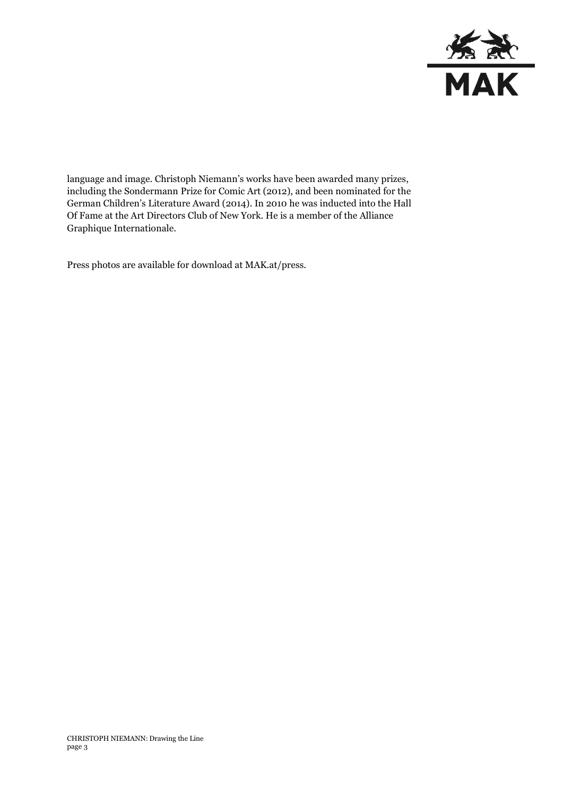

language and image. Christoph Niemann's works have been awarded many prizes, including the Sondermann Prize for Comic Art (2012), and been nominated for the German Children's Literature Award (2014). In 2010 he was inducted into the Hall Of Fame at the Art Directors Club of New York. He is a member of the Alliance Graphique Internationale.

Press photos are available for download at MAK.at/press.